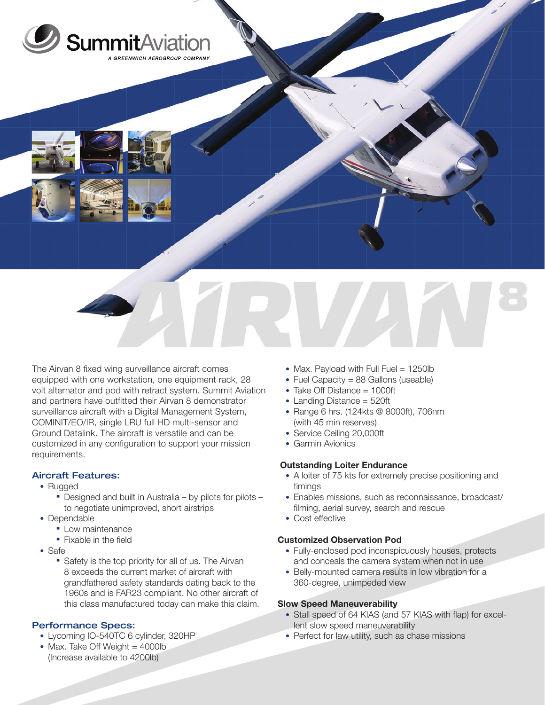

The Airvan 8 fixed wing surveillance aircraft comes equipped with one workstation, one equipment rack, 28 volt alternator and pod with retract system. Summit Aviation and partners have outfitted their Airvan 8 demonstrator surveillance aircraft with a Digital Management System, COMINIT/EO/IR, single LRU full HD multi-sensor and Ground Datalink. The aircraft is versatile and can be customized in any configuration to support your mission requirements.

# Aircraft Features:

- Rugged
	- Designed and built in Australia by pilots for pilots to negotiate unimproved, short airstrips
- Dependable
	- **Low maintenance**
	- **Fixable in the field**
- Safe
	- Safety is the top priority for all of us. The Airvan 8 exceeds the current market of aircraft with grandfathered safety standards dating back to the 1960s and is FAR23 compliant. No other aircraft of this class manufactured today can make this claim.

# Performance Specs:

- Lycoming IO-540TC 6 cylinder, 320HP
- Max. Take Off Weight = 4000lb (Increase available to 4200lb)
- Max. Payload with Full Fuel = 1250lb
- Fuel Capacity = 88 Gallons (useable)
- Take Off Distance = 1000ft
- Landing Distance = 520ft
- Range 6 hrs. (124kts @ 8000ft), 706nm (with 45 min reserves)
- Service Ceiling 20,000ft
- Garmin Avionics

### Outstanding Loiter Endurance

- A loiter of 75 kts for extremely precise positioning and timings
- Enables missions, such as reconnaissance, broadcast/ filming, aerial survey, search and rescue
- Cost effective

### Customized Observation Pod

- Fully-enclosed pod inconspicuously houses, protects and conceals the camera system when not in use
- Belly-mounted camera results in low vibration for a 360-degree, unimpeded view

### Slow Speed Maneuverability

- Stall speed of 64 KIAS (and 57 KIAS with flap) for excellent slow speed maneuverability
- Perfect for law utility, such as chase missions